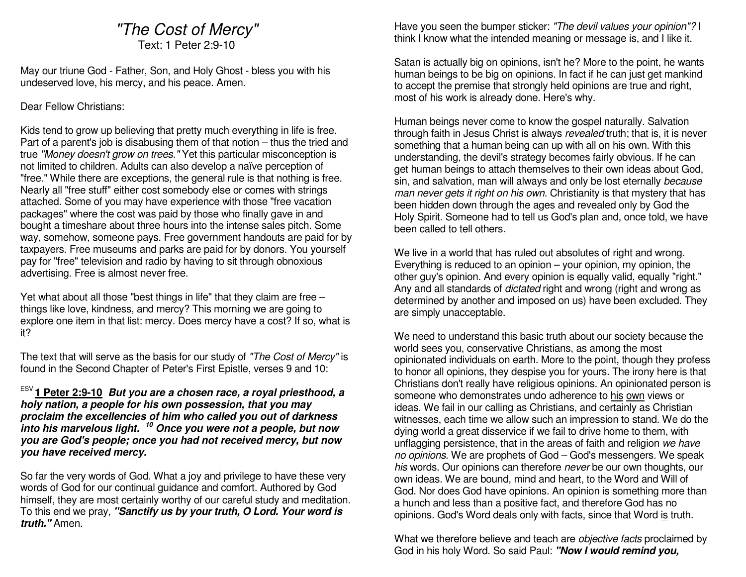# "The Cost of Mercy"

Text: 1 Peter 2:9-10

May our triune God - Father, Son, and Holy Ghost - bless you with his undeserved love, his mercy, and his peace. Amen.

#### Dear Fellow Christians:

Kids tend to grow up believing that pretty much everything in life is free. Part of a parent's job is disabusing them of that notion – thus the tried and true "Money doesn't grow on trees." Yet this particular misconception is not limited to children. Adults can also develop a naïve perception of "free." While there are exceptions, the general rule is that nothing is free. Nearly all "free stuff" either cost somebody else or comes with strings attached. Some of you may have experience with those "free vacation packages" where the cost was paid by those who finally gave in and bought a timeshare about three hours into the intense sales pitch. Some way, somehow, someone pays. Free government handouts are paid for by taxpayers. Free museums and parks are paid for by donors. You yourself pay for "free" television and radio by having to sit through obnoxious advertising. Free is almost never free.

Yet what about all those "best things in life" that they claim are free – things like love, kindness, and mercy? This morning we are going to explore one item in that list: mercy. Does mercy have a cost? If so, what is it?

The text that will serve as the basis for our study of "The Cost of Mercy" is found in the Second Chapter of Peter's First Epistle, verses 9 and 10:

ESV **1 Peter 2:9-10 But you are a chosen race, a royal priesthood, a holy nation, a people for his own possession, that you may proclaim the excellencies of him who called you out of darkness into his marvelous light. <sup>10</sup> Once you were not a people, but now you are God's people; once you had not received mercy, but now you have received mercy.**

So far the very words of God. What a joy and privilege to have these very words of God for our continual guidance and comfort. Authored by God himself, they are most certainly worthy of our careful study and meditation. To this end we pray, **"Sanctify us by your truth, O Lord. Your word is truth."** Amen.

Have you seen the bumper sticker: "The devil values your opinion"? I think I know what the intended meaning or message is, and I like it.

Satan is actually big on opinions, isn't he? More to the point, he wants human beings to be big on opinions. In fact if he can just get mankind to accept the premise that strongly held opinions are true and right, most of his work is already done. Here's why.

Human beings never come to know the gospel naturally. Salvation through faith in Jesus Christ is always revealed truth; that is, it is never something that a human being can up with all on his own. With this understanding, the devil's strategy becomes fairly obvious. If he can get human beings to attach themselves to their own ideas about God, sin, and salvation, man will always and only be lost eternally because man never gets it right on his own. Christianity is that mystery that has been hidden down through the ages and revealed only by God the Holy Spirit. Someone had to tell us God's plan and, once told, we have been called to tell others.

We live in a world that has ruled out absolutes of right and wrong. Everything is reduced to an opinion – your opinion, my opinion, the other guy's opinion. And every opinion is equally valid, equally "right." Any and all standards of *dictated* right and wrong (right and wrong as determined by another and imposed on us) have been excluded. They are simply unacceptable.

We need to understand this basic truth about our society because the world sees you, conservative Christians, as among the most opinionated individuals on earth. More to the point, though they profess to honor all opinions, they despise you for yours. The irony here is that Christians don't really have religious opinions. An opinionated person is someone who demonstrates undo adherence to his own views or ideas. We fail in our calling as Christians, and certainly as Christian witnesses, each time we allow such an impression to stand. We do the dying world a great disservice if we fail to drive home to them, with unflagging persistence, that in the areas of faith and religion we have no opinions. We are prophets of God - God's messengers. We speak his words. Our opinions can therefore never be our own thoughts, our own ideas. We are bound, mind and heart, to the Word and Will of God. Nor does God have opinions. An opinion is something more than a hunch and less than a positive fact, and therefore God has no opinions. God's Word deals only with facts, since that Word is truth.

What we therefore believe and teach are *objective facts* proclaimed by God in his holy Word. So said Paul: **"Now I would remind you,**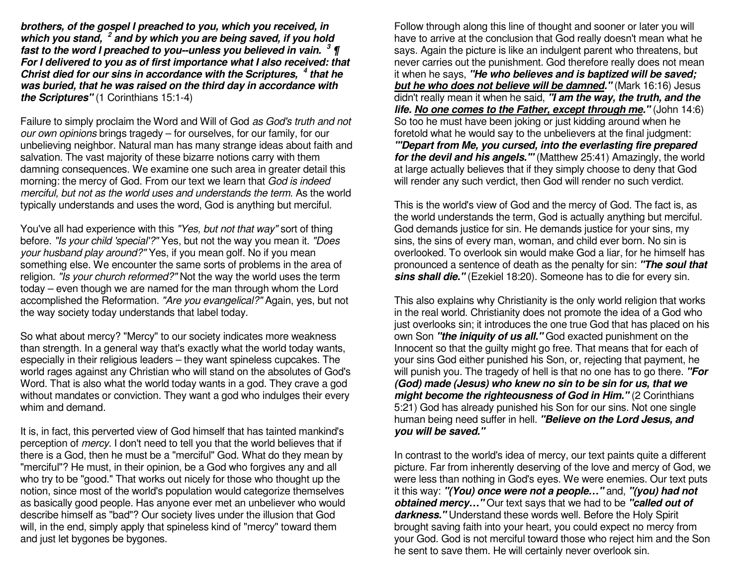**brothers, of the gospel I preached to you, which you received, in which you stand, <sup>2</sup> and by which you are being saved, if you hold fast to the word I preached to you--unless you believed in vain. <sup>3</sup> ¶ For I delivered to you as of first importance what I also received: that Christ died for our sins in accordance with the Scriptures, <sup>4</sup> that he was buried, that he was raised on the third day in accordance with the Scriptures"** (1 Corinthians 15:1-4)

Failure to simply proclaim the Word and Will of God *as God's truth and not* our own opinions brings tragedy – for ourselves, for our family, for our unbelieving neighbor. Natural man has many strange ideas about faith and salvation. The vast majority of these bizarre notions carry with them damning consequences. We examine one such area in greater detail this morning: the mercy of God. From our text we learn that God is indeed merciful, but not as the world uses and understands the term. As the world typically understands and uses the word, God is anything but merciful.

You've all had experience with this "Yes, but not that way" sort of thing before. "Is your child 'special'?" Yes, but not the way you mean it. "Does your husband play around?" Yes, if you mean golf. No if you mean something else. We encounter the same sorts of problems in the area of religion. "Is your church reformed?" Not the way the world uses the term today – even though we are named for the man through whom the Lord accomplished the Reformation. "Are you evangelical?" Again, yes, but not the way society today understands that label today.

So what about mercy? "Mercy" to our society indicates more weakness than strength. In a general way that's exactly what the world today wants, especially in their religious leaders – they want spineless cupcakes. The world rages against any Christian who will stand on the absolutes of God's Word. That is also what the world today wants in a god. They crave a god without mandates or conviction. They want a god who indulges their every whim and demand.

It is, in fact, this perverted view of God himself that has tainted mankind's perception of *mercy*. I don't need to tell you that the world believes that if there is a God, then he must be a "merciful" God. What do they mean by "merciful"? He must, in their opinion, be a God who forgives any and all who try to be "good." That works out nicely for those who thought up the notion, since most of the world's population would categorize themselves as basically good people. Has anyone ever met an unbeliever who would describe himself as "bad"? Our society lives under the illusion that God will, in the end, simply apply that spineless kind of "mercy" toward them and just let bygones be bygones.

Follow through along this line of thought and sooner or later you will have to arrive at the conclusion that God really doesn't mean what he says. Again the picture is like an indulgent parent who threatens, but never carries out the punishment. God therefore really does not mean it when he says, **"He who believes and is baptized will be saved; but he who does not believe will be damned."** (Mark 16:16) Jesus didn't really mean it when he said, **"I am the way, the truth, and the life. No one comes to the Father, except through me."** (John 14:6) So too he must have been joking or just kidding around when he foretold what he would say to the unbelievers at the final judgment: **"'Depart from Me, you cursed, into the everlasting fire prepared for the devil and his angels.'"** (Matthew 25:41) Amazingly, the world at large actually believes that if they simply choose to deny that God will render any such verdict, then God will render no such verdict.

This is the world's view of God and the mercy of God. The fact is, as the world understands the term, God is actually anything but merciful. God demands justice for sin. He demands justice for your sins, my sins, the sins of every man, woman, and child ever born. No sin is overlooked. To overlook sin would make God a liar, for he himself has pronounced a sentence of death as the penalty for sin: **"The soul that sins shall die."** (Ezekiel 18:20). Someone has to die for every sin.

This also explains why Christianity is the only world religion that works in the real world. Christianity does not promote the idea of a God who just overlooks sin; it introduces the one true God that has placed on his own Son **"the iniquity of us all."** God exacted punishment on the Innocent so that the guilty might go free. That means that for each of your sins God either punished his Son, or, rejecting that payment, he will punish you. The tragedy of hell is that no one has to go there. **"For (God) made (Jesus) who knew no sin to be sin for us, that we might become the righteousness of God in Him."** (2 Corinthians 5:21) God has already punished his Son for our sins. Not one single human being need suffer in hell. **"Believe on the Lord Jesus, and you will be saved."**

In contrast to the world's idea of mercy, our text paints quite a different picture. Far from inherently deserving of the love and mercy of God, we were less than nothing in God's eyes. We were enemies. Our text puts it this way: **"(You) once were not a people…"** and, **"(you) had not obtained mercy…"** Our text says that we had to be **"called out of darkness."** Understand these words well. Before the Holy Spirit brought saving faith into your heart, you could expect no mercy from your God. God is not merciful toward those who reject him and the Son he sent to save them. He will certainly never overlook sin.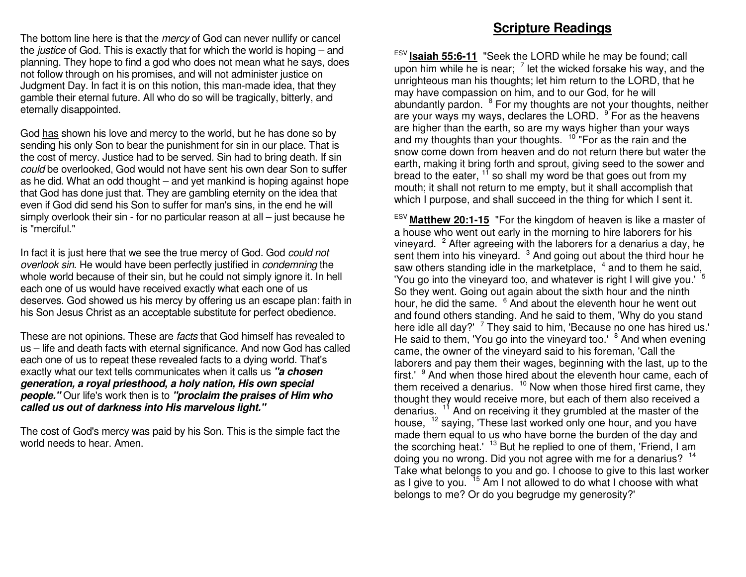The bottom line here is that the *mercy* of God can never nullify or cancel the *justice* of God. This is exactly that for which the world is hoping – and planning. They hope to find a god who does not mean what he says, does not follow through on his promises, and will not administer justice on Judgment Day. In fact it is on this notion, this man-made idea, that they gamble their eternal future. All who do so will be tragically, bitterly, and eternally disappointed.

God has shown his love and mercy to the world, but he has done so by sending his only Son to bear the punishment for sin in our place. That is the cost of mercy. Justice had to be served. Sin had to bring death. If sin could be overlooked, God would not have sent his own dear Son to suffer as he did. What an odd thought – and yet mankind is hoping against hope that God has done just that. They are gambling eternity on the idea that even if God did send his Son to suffer for man's sins, in the end he will simply overlook their sin - for no particular reason at all – just because he is "merciful."

In fact it is just here that we see the true mercy of God. God could notoverlook sin. He would have been perfectly justified in condemning the whole world because of their sin, but he could not simply ignore it. In hell each one of us would have received exactly what each one of us deserves. God showed us his mercy by offering us an escape plan: faith in his Son Jesus Christ as an acceptable substitute for perfect obedience.

These are not opinions. These are facts that God himself has revealed to us – life and death facts with eternal significance. And now God has called each one of us to repeat these revealed facts to a dying world. That's exactly what our text tells communicates when it calls us **"a chosen generation, a royal priesthood, a holy nation, His own special people."** Our life's work then is to **"proclaim the praises of Him who called us out of darkness into His marvelous light."**

The cost of God's mercy was paid by his Son. This is the simple fact the world needs to hear. Amen.

### **Scripture Readings**

ESV **Isaiah 55:6-11** "Seek the LORD while he may be found; call upon him while he is near;  $\frac{7}{1}$  let the wicked forsake his way, and the unrighteous man his thoughts; let him return to the LORD, that he may have compassion on him, and to our God, for he will abundantly pardon. <sup>8</sup> For my thoughts are not your thoughts, neither are your ways my ways, declares the LORD. <sup>9</sup> For as the heavens are higher than the earth, so are my ways higher than your ways and my thoughts than your thoughts. <sup>10</sup> "For as the rain and the snow come down from heaven and do not return there but water the earth, making it bring forth and sprout, giving seed to the sower and bread to the eater,  $1^7$  so shall my word be that goes out from my mouth; it shall not return to me empty, but it shall accomplish that which I purpose, and shall succeed in the thing for which I sent it.

ESV **Matthew 20:1-15** "For the kingdom of heaven is like a master of a house who went out early in the morning to hire laborers for his vineyard.  $2$  After agreeing with the laborers for a denarius a day, he sent them into his vineyard.  $3$  And going out about the third hour he saw others standing idle in the marketplace,  $4$  and to them he said, 'You go into the vineyard too, and whatever is right I will give you.' <sup>5</sup> So they went. Going out again about the sixth hour and the ninth hour, he did the same. <sup>6</sup> And about the eleventh hour he went out and found others standing. And he said to them, 'Why do you stand here idle all day?' <sup>7</sup> They said to him, 'Because no one has hired us.' He said to them, 'You go into the vineyard too.' <sup>8</sup> And when evening came, the owner of the vineyard said to his foreman, 'Call the laborers and pay them their wages, beginning with the last, up to the first.'  $9$  And when those hired about the eleventh hour came, each of them received a denarius.  $10$  Now when those hired first came, they thought they would receive more, but each of them also received a denarius. <sup>11</sup> And on receiving it they grumbled at the master of the house, <sup>12</sup> saying, 'These last worked only one hour, and you have made them equal to us who have borne the burden of the day and the scorching heat.' <sup>13</sup> But he replied to one of them, 'Friend, I am doing you no wrong. Did you not agree with me for a denarius? <sup>14</sup> Take what belongs to you and go. I choose to give to this last worker as I give to you. <sup>15</sup> Am I not allowed to do what I choose with what belongs to me? Or do you begrudge my generosity?'